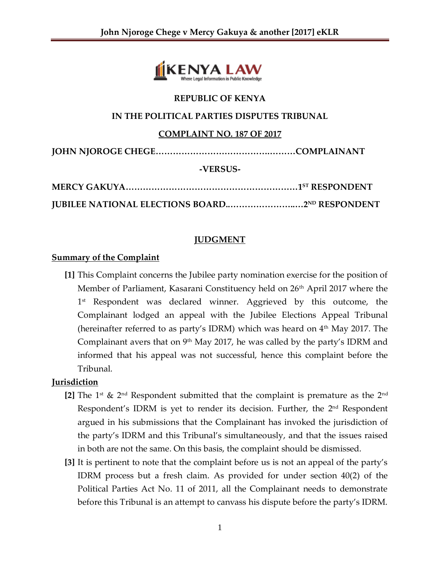

#### **REPUBLIC OF KENYA**

#### **IN THE POLITICAL PARTIES DISPUTES TRIBUNAL**

### **COMPLAINT NO. 187 OF 2017**

**JOHN NJOROGE CHEGE………………………………….………COMPLAINANT**

### **-VERSUS-**

**MERCY GAKUYA……………………………………………………1 ST RESPONDENT**

**JUBILEE NATIONAL ELECTIONS BOARD..…………………..…2ND RESPONDENT**

# **JUDGMENT**

### **Summary of the Complaint**

**[1]** This Complaint concerns the Jubilee party nomination exercise for the position of Member of Parliament, Kasarani Constituency held on 26<sup>th</sup> April 2017 where the 1 st Respondent was declared winner. Aggrieved by this outcome, the Complainant lodged an appeal with the Jubilee Elections Appeal Tribunal (hereinafter referred to as party's IDRM) which was heard on  $4<sup>th</sup>$  May 2017. The Complainant avers that on  $9<sup>th</sup>$  May 2017, he was called by the party's IDRM and informed that his appeal was not successful, hence this complaint before the Tribunal.

# **Jurisdiction**

- **[2]** The 1<sup>st</sup> & 2<sup>nd</sup> Respondent submitted that the complaint is premature as the 2<sup>nd</sup> Respondent's IDRM is yet to render its decision. Further, the 2<sup>nd</sup> Respondent argued in his submissions that the Complainant has invoked the jurisdiction of the party's IDRM and this Tribunal's simultaneously, and that the issues raised in both are not the same. On this basis, the complaint should be dismissed.
- **[3]** It is pertinent to note that the complaint before us is not an appeal of the party's IDRM process but a fresh claim. As provided for under section 40(2) of the Political Parties Act No. 11 of 2011, all the Complainant needs to demonstrate before this Tribunal is an attempt to canvass his dispute before the party's IDRM.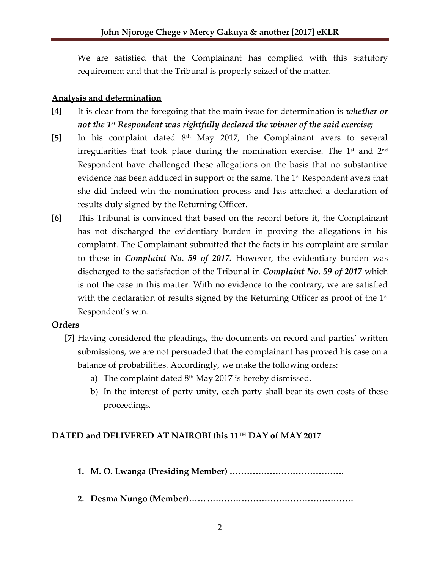We are satisfied that the Complainant has complied with this statutory requirement and that the Tribunal is properly seized of the matter.

### **Analysis and determination**

- **[4]** It is clear from the foregoing that the main issue for determination is *whether or not the 1st Respondent was rightfully declared the winner of the said exercise;*
- **[5]** In his complaint dated 8th May 2017, the Complainant avers to several irregularities that took place during the nomination exercise. The 1<sup>st</sup> and 2<sup>nd</sup> Respondent have challenged these allegations on the basis that no substantive evidence has been adduced in support of the same. The 1<sup>st</sup> Respondent avers that she did indeed win the nomination process and has attached a declaration of results duly signed by the Returning Officer.
- **[6]** This Tribunal is convinced that based on the record before it, the Complainant has not discharged the evidentiary burden in proving the allegations in his complaint. The Complainant submitted that the facts in his complaint are similar to those in *Complaint No. 59 of 2017.* However, the evidentiary burden was discharged to the satisfaction of the Tribunal in *Complaint No. 59 of 2017* which is not the case in this matter. With no evidence to the contrary, we are satisfied with the declaration of results signed by the Returning Officer as proof of the  $1<sup>st</sup>$ Respondent's win.

#### **Orders**

- **[7]** Having considered the pleadings, the documents on record and parties' written submissions, we are not persuaded that the complainant has proved his case on a balance of probabilities. Accordingly, we make the following orders:
	- a) The complaint dated  $8<sup>th</sup>$  May 2017 is hereby dismissed.
	- b) In the interest of party unity, each party shall bear its own costs of these proceedings.

# **DATED and DELIVERED AT NAIROBI this 11TH DAY of MAY 2017**

- **1. M. O. Lwanga (Presiding Member) ………………………………….**
- **2. Desma Nungo (Member)…………………………………………………**